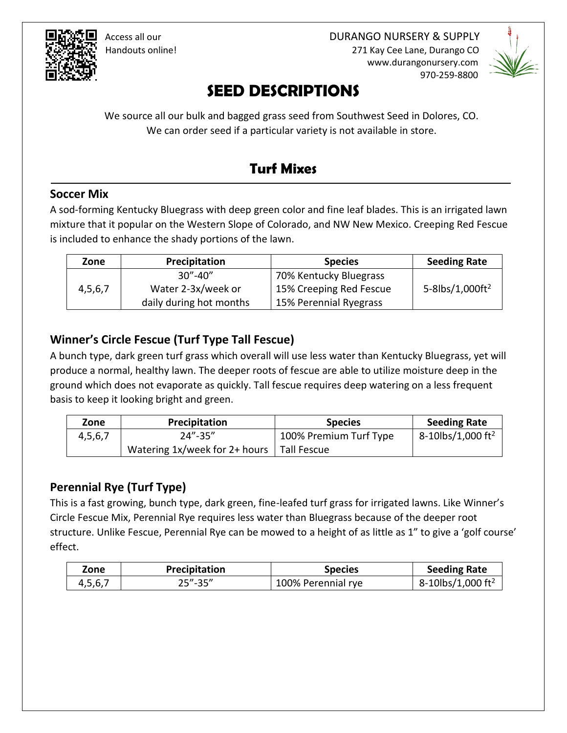

 Access all our DURANGO NURSERY & SUPPLY Handouts online! 271 Kay Cee Lane, Durango CO www.durangonursery.com 970-259-8800



# **SEED DESCRIPTIONS**

We source all our bulk and bagged grass seed from Southwest Seed in Dolores, CO. We can order seed if a particular variety is not available in store.

# **Turf Mixes**

#### **Soccer Mix**

A sod-forming Kentucky Bluegrass with deep green color and fine leaf blades. This is an irrigated lawn mixture that it popular on the Western Slope of Colorado, and NW New Mexico. Creeping Red Fescue is included to enhance the shady portions of the lawn.

| Zone    | Precipitation                             | <b>Species</b>          | <b>Seeding Rate</b>         |
|---------|-------------------------------------------|-------------------------|-----------------------------|
|         | $30^{\prime\prime}$ -40 $^{\prime\prime}$ | 70% Kentucky Bluegrass  |                             |
| 4,5,6,7 | Water 2-3x/week or                        | 15% Creeping Red Fescue | 5-8lbs/1,000ft <sup>2</sup> |
|         | daily during hot months                   | 15% Perennial Ryegrass  |                             |

#### **Winner's Circle Fescue (Turf Type Tall Fescue)**

A bunch type, dark green turf grass which overall will use less water than Kentucky Bluegrass, yet will produce a normal, healthy lawn. The deeper roots of fescue are able to utilize moisture deep in the ground which does not evaporate as quickly. Tall fescue requires deep watering on a less frequent basis to keep it looking bright and green.

| Zone    | <b>Precipitation</b>          | <b>Species</b>         | <b>Seeding Rate</b>           |
|---------|-------------------------------|------------------------|-------------------------------|
| 4,5,6,7 | $24'' - 35''$                 | 100% Premium Turf Type | 8-10lbs/1,000 ft <sup>2</sup> |
|         | Watering 1x/week for 2+ hours | Tall Fescue            |                               |

#### **Perennial Rye (Turf Type)**

This is a fast growing, bunch type, dark green, fine-leafed turf grass for irrigated lawns. Like Winner's Circle Fescue Mix, Perennial Rye requires less water than Bluegrass because of the deeper root structure. Unlike Fescue, Perennial Rye can be mowed to a height of as little as 1" to give a 'golf course' effect.

| Zone    | Precipitation | <b>Species</b>     | <b>Seeding Rate</b>           |
|---------|---------------|--------------------|-------------------------------|
| 4,5,6,7 | $25 - 35$     | 100% Perennial rye | 8-10lbs/1,000 ft <sup>2</sup> |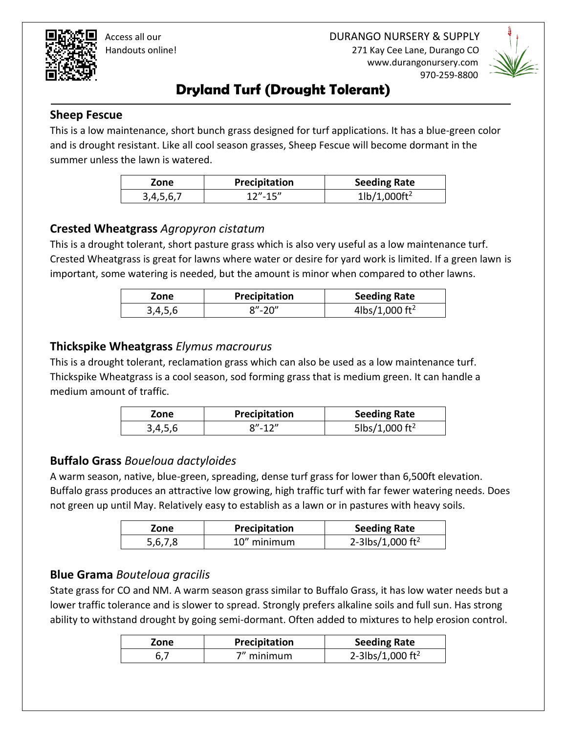

 Access all our DURANGO NURSERY & SUPPLY Handouts online! 271 Kay Cee Lane, Durango CO

www.durangonursery.com

970-259-8800

# **Dryland Turf (Drought Tolerant)**

#### **Sheep Fescue**

This is a low maintenance, short bunch grass designed for turf applications. It has a blue-green color and is drought resistant. Like all cool season grasses, Sheep Fescue will become dormant in the summer unless the lawn is watered.

| Zone      | Precipitation | <b>Seeding Rate</b>                |
|-----------|---------------|------------------------------------|
| 3,4,5,6,7 | $12'' - 15''$ | $1\frac{1}{1,000}$ ft <sup>2</sup> |

#### **Crested Wheatgrass** *Agropyron cistatum*

This is a drought tolerant, short pasture grass which is also very useful as a low maintenance turf. Crested Wheatgrass is great for lawns where water or desire for yard work is limited. If a green lawn is important, some watering is needed, but the amount is minor when compared to other lawns.

| Zone    | Precipitation | <b>Seeding Rate</b>        |
|---------|---------------|----------------------------|
| 3,4,5,6 | $8'' - 20''$  | 4lbs/1,000 ft <sup>2</sup> |

#### **Thickspike Wheatgrass** *Elymus macrourus*

This is a drought tolerant, reclamation grass which can also be used as a low maintenance turf. Thickspike Wheatgrass is a cool season, sod forming grass that is medium green. It can handle a medium amount of traffic.

| Zone    | Precipitation | <b>Seeding Rate</b>        |
|---------|---------------|----------------------------|
| 3,4,5,6 | $8'' - 12''$  | 5lbs/1,000 ft <sup>2</sup> |

#### **Buffalo Grass** *Boueloua dactyloides*

A warm season, native, blue-green, spreading, dense turf grass for lower than 6,500ft elevation. Buffalo grass produces an attractive low growing, high traffic turf with far fewer watering needs. Does not green up until May. Relatively easy to establish as a lawn or in pastures with heavy soils.

| Zone    | Precipitation | <b>Seeding Rate</b>          |
|---------|---------------|------------------------------|
| 5.6.7.8 | 10" minimum   | 2-3lbs/1,000 ft <sup>2</sup> |

#### **Blue Grama** *Bouteloua gracilis*

State grass for CO and NM. A warm season grass similar to Buffalo Grass, it has low water needs but a lower traffic tolerance and is slower to spread. Strongly prefers alkaline soils and full sun. Has strong ability to withstand drought by going semi-dormant. Often added to mixtures to help erosion control.

| Zone | Precipitation | <b>Seeding Rate</b>          |
|------|---------------|------------------------------|
|      | 7" minimum    | 2-3lbs/1,000 ft <sup>2</sup> |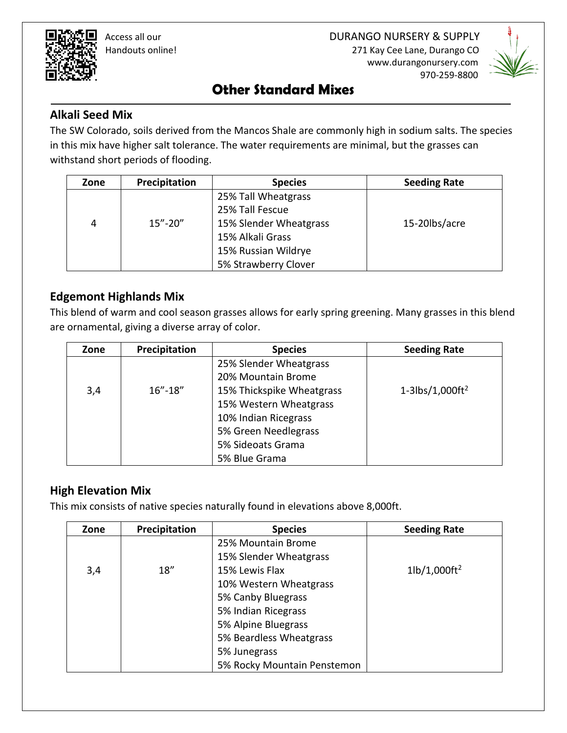

 Handouts online! 271 Kay Cee Lane, Durango CO www.durangonursery.com 970-259-8800



### **Other Standard Mixes**

#### **Alkali Seed Mix**

The SW Colorado, soils derived from the Mancos Shale are commonly high in sodium salts. The species in this mix have higher salt tolerance. The water requirements are minimal, but the grasses can withstand short periods of flooding.

| Zone | Precipitation | <b>Species</b>         | <b>Seeding Rate</b> |
|------|---------------|------------------------|---------------------|
|      |               | 25% Tall Wheatgrass    |                     |
|      |               | 25% Tall Fescue        |                     |
| 4    | $15 - 20$     | 15% Slender Wheatgrass | 15-20lbs/acre       |
|      |               | 15% Alkali Grass       |                     |
|      |               | 15% Russian Wildrye    |                     |
|      |               | 5% Strawberry Clover   |                     |

#### **Edgemont Highlands Mix**

This blend of warm and cool season grasses allows for early spring greening. Many grasses in this blend are ornamental, giving a diverse array of color.

| Zone | Precipitation | <b>Species</b>            | <b>Seeding Rate</b>         |
|------|---------------|---------------------------|-----------------------------|
|      |               | 25% Slender Wheatgrass    |                             |
|      |               | 20% Mountain Brome        |                             |
| 3,4  | $16'' - 18''$ | 15% Thickspike Wheatgrass | 1-3lbs/1,000ft <sup>2</sup> |
|      |               | 15% Western Wheatgrass    |                             |
|      |               | 10% Indian Ricegrass      |                             |
|      |               | 5% Green Needlegrass      |                             |
|      |               | 5% Sideoats Grama         |                             |
|      |               | 5% Blue Grama             |                             |

#### **High Elevation Mix**

This mix consists of native species naturally found in elevations above 8,000ft.

| Zone | Precipitation | <b>Species</b>              | <b>Seeding Rate</b>                |
|------|---------------|-----------------------------|------------------------------------|
|      |               | 25% Mountain Brome          |                                    |
|      |               | 15% Slender Wheatgrass      |                                    |
| 3,4  | 18"           | 15% Lewis Flax              | $1\frac{h}{1,000}$ ft <sup>2</sup> |
|      |               | 10% Western Wheatgrass      |                                    |
|      |               | 5% Canby Bluegrass          |                                    |
|      |               | 5% Indian Ricegrass         |                                    |
|      |               | 5% Alpine Bluegrass         |                                    |
|      |               | 5% Beardless Wheatgrass     |                                    |
|      |               | 5% Junegrass                |                                    |
|      |               | 5% Rocky Mountain Penstemon |                                    |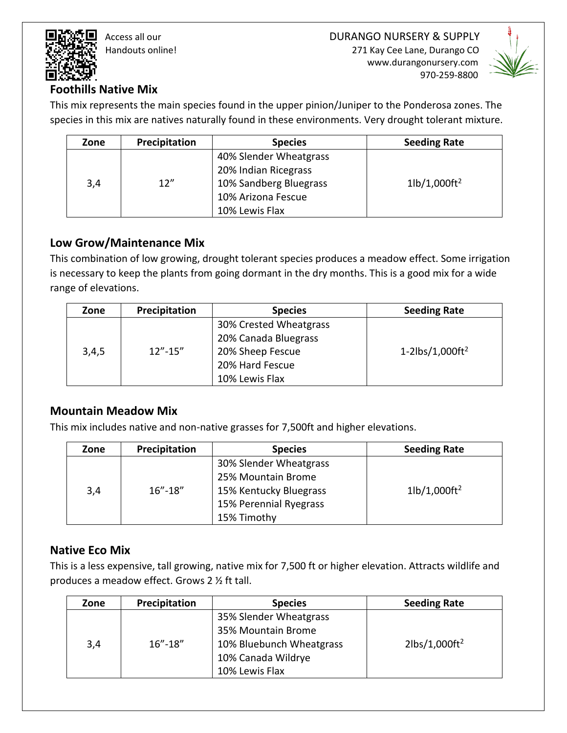Access all our DURANGO NURSERY & SUPPLY Handouts online! 271 Kay Cee Lane, Durango CO

www.durangonursery.com

970-259-8800



#### **Foothills Native Mix**

This mix represents the main species found in the upper pinion/Juniper to the Ponderosa zones. The species in this mix are natives naturally found in these environments. Very drought tolerant mixture.

| Zone | Precipitation | <b>Species</b>         | <b>Seeding Rate</b>                |
|------|---------------|------------------------|------------------------------------|
|      |               | 40% Slender Wheatgrass |                                    |
|      |               | 20% Indian Ricegrass   |                                    |
| 3,4  | 12''          | 10% Sandberg Bluegrass | $1\frac{1}{1.000}$ ft <sup>2</sup> |
|      |               | 10% Arizona Fescue     |                                    |
|      |               | 10% Lewis Flax         |                                    |

#### **Low Grow/Maintenance Mix**

This combination of low growing, drought tolerant species produces a meadow effect. Some irrigation is necessary to keep the plants from going dormant in the dry months. This is a good mix for a wide range of elevations.

| Zone  | Precipitation | <b>Species</b>         | <b>Seeding Rate</b> |
|-------|---------------|------------------------|---------------------|
|       |               | 30% Crested Wheatgrass |                     |
| 3,4,5 |               | 20% Canada Bluegrass   |                     |
|       | $12" - 15"$   | 20% Sheep Fescue       | 1-2 $lbs/1,000ft^2$ |
|       |               | 20% Hard Fescue        |                     |
|       |               | 10% Lewis Flax         |                     |

#### **Mountain Meadow Mix**

This mix includes native and non-native grasses for 7,500ft and higher elevations.

| Zone | Precipitation | <b>Species</b>         | <b>Seeding Rate</b>                |
|------|---------------|------------------------|------------------------------------|
|      |               | 30% Slender Wheatgrass |                                    |
| 3,4  | $16'' - 18''$ | 25% Mountain Brome     | $1\frac{1}{1,000}$ ft <sup>2</sup> |
|      |               | 15% Kentucky Bluegrass |                                    |
|      |               | 15% Perennial Ryegrass |                                    |
|      |               | 15% Timothy            |                                    |

#### **Native Eco Mix**

This is a less expensive, tall growing, native mix for 7,500 ft or higher elevation. Attracts wildlife and produces a meadow effect. Grows 2 ½ ft tall.

| Zone | Precipitation | <b>Species</b>           | <b>Seeding Rate</b> |
|------|---------------|--------------------------|---------------------|
|      |               | 35% Slender Wheatgrass   |                     |
| 3,4  | $16'' - 18''$ | 35% Mountain Brome       |                     |
|      |               | 10% Bluebunch Wheatgrass | $2lbs/1,000ft^2$    |
|      |               | 10% Canada Wildrye       |                     |
|      |               | 10% Lewis Flax           |                     |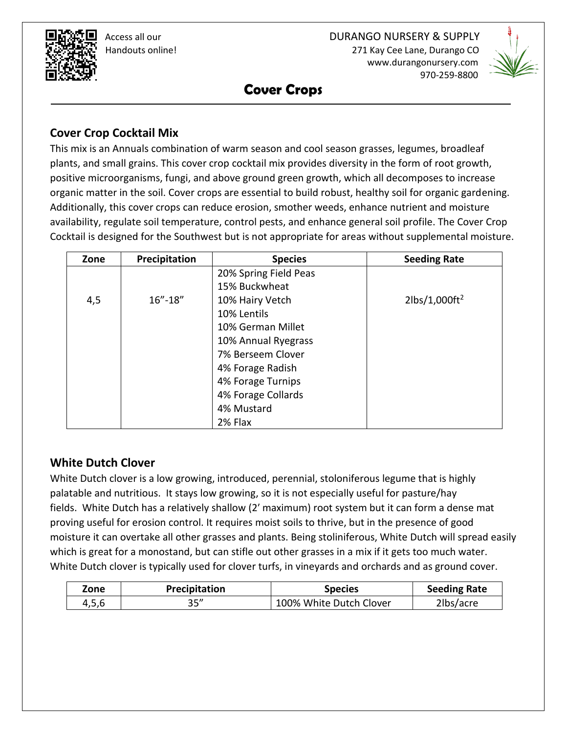

970-259-8800



**Cover Crops**

#### **Cover Crop Cocktail Mix**

This mix is an Annuals combination of warm season and cool season grasses, legumes, broadleaf plants, and small grains. This cover crop cocktail mix provides diversity in the form of root growth, positive microorganisms, fungi, and above ground green growth, which all decomposes to increase organic matter in the soil. Cover crops are essential to build robust, healthy soil for organic gardening. Additionally, this cover crops can reduce erosion, smother weeds, enhance nutrient and moisture availability, regulate soil temperature, control pests, and enhance general soil profile. The Cover Crop Cocktail is designed for the Southwest but is not appropriate for areas without supplemental moisture.

| Zone | Precipitation | <b>Species</b>        | <b>Seeding Rate</b>            |
|------|---------------|-----------------------|--------------------------------|
|      |               | 20% Spring Field Peas |                                |
|      |               | 15% Buckwheat         |                                |
| 4,5  | $16'' - 18''$ | 10% Hairy Vetch       | $2\,$ lbs/1,000ft <sup>2</sup> |
|      |               | 10% Lentils           |                                |
|      |               | 10% German Millet     |                                |
|      |               | 10% Annual Ryegrass   |                                |
|      |               | 7% Berseem Clover     |                                |
|      |               | 4% Forage Radish      |                                |
|      |               | 4% Forage Turnips     |                                |
|      |               | 4% Forage Collards    |                                |
|      |               | 4% Mustard            |                                |
|      |               | 2% Flax               |                                |

#### **White Dutch Clover**

White Dutch clover is a low growing, introduced, perennial, stoloniferous legume that is highly palatable and nutritious. It stays low growing, so it is not especially useful for pasture/hay fields. White Dutch has a relatively shallow (2′ maximum) root system but it can form a dense mat proving useful for erosion control. It requires moist soils to thrive, but in the presence of good moisture it can overtake all other grasses and plants. Being stoliniferous, White Dutch will spread easily which is great for a monostand, but can stifle out other grasses in a mix if it gets too much water. White Dutch clover is typically used for clover turfs, in vineyards and orchards and as ground cover.

| Zone  | Precipitation | <b>Species</b>          | <b>Seeding Rate</b> |
|-------|---------------|-------------------------|---------------------|
| 4,5,6 | 35''          | 100% White Dutch Clover | 2lbs/acre           |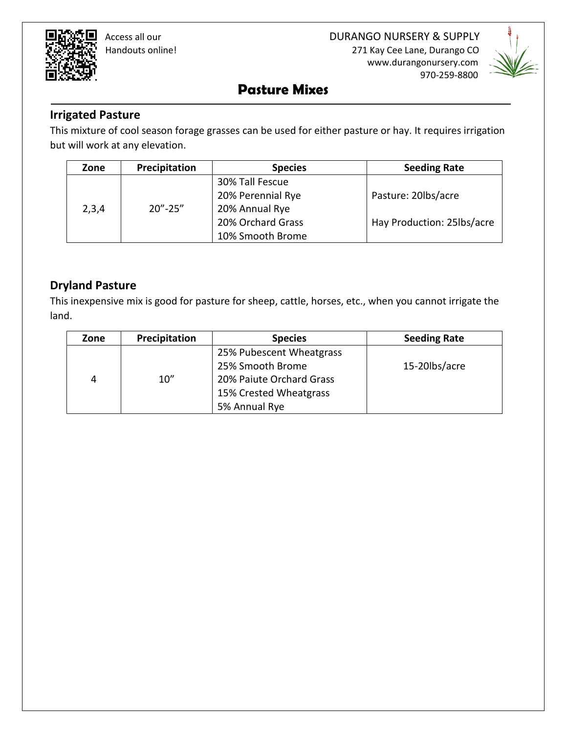Handouts online! 271 Kay Cee Lane, Durango CO

www.durangonursery.com

970-259-8800

## **Pasture Mixes**

#### **Irrigated Pasture**

This mixture of cool season forage grasses can be used for either pasture or hay. It requires irrigation but will work at any elevation.

| Zone  | Precipitation                             | <b>Species</b>    | <b>Seeding Rate</b>        |
|-------|-------------------------------------------|-------------------|----------------------------|
|       |                                           | 30% Tall Fescue   |                            |
|       |                                           | 20% Perennial Rye | Pasture: 20lbs/acre        |
| 2,3,4 | $20^{\prime\prime}$ -25 $^{\prime\prime}$ | 20% Annual Rye    |                            |
|       |                                           | 20% Orchard Grass | Hay Production: 25lbs/acre |
|       |                                           | 10% Smooth Brome  |                            |

#### **Dryland Pasture**

This inexpensive mix is good for pasture for sheep, cattle, horses, etc., when you cannot irrigate the land.

| Zone | Precipitation | <b>Species</b>           | <b>Seeding Rate</b> |
|------|---------------|--------------------------|---------------------|
|      |               | 25% Pubescent Wheatgrass |                     |
|      |               | 25% Smooth Brome         | 15-20lbs/acre       |
| 4    | 10''          | 20% Paiute Orchard Grass |                     |
|      |               | 15% Crested Wheatgrass   |                     |
|      |               | 5% Annual Rye            |                     |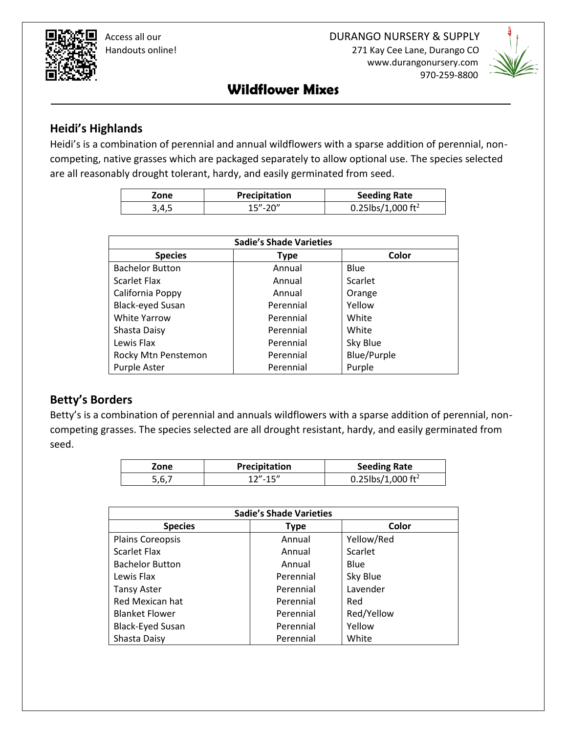Handouts online! 271 Kay Cee Lane, Durango CO www.durangonursery.com 970-259-8800



### **Wildflower Mixes**

#### **Heidi's Highlands**

Heidi's is a combination of perennial and annual wildflowers with a sparse addition of perennial, noncompeting, native grasses which are packaged separately to allow optional use. The species selected are all reasonably drought tolerant, hardy, and easily germinated from seed.

| Zone  | Precipitation | <b>Seeding Rate</b>           |  |
|-------|---------------|-------------------------------|--|
| 3,4,5 | $15 - 20$     | 0.25lbs/1,000 ft <sup>2</sup> |  |

| <b>Sadie's Shade Varieties</b> |             |             |  |  |
|--------------------------------|-------------|-------------|--|--|
| <b>Species</b>                 | <b>Type</b> | Color       |  |  |
| <b>Bachelor Button</b>         | Annual      | Blue        |  |  |
| <b>Scarlet Flax</b>            | Annual      | Scarlet     |  |  |
| California Poppy               | Annual      | Orange      |  |  |
| <b>Black-eyed Susan</b>        | Perennial   | Yellow      |  |  |
| <b>White Yarrow</b>            | Perennial   | White       |  |  |
| Shasta Daisy                   | Perennial   | White       |  |  |
| Lewis Flax                     | Perennial   | Sky Blue    |  |  |
| Rocky Mtn Penstemon            | Perennial   | Blue/Purple |  |  |
| Purple Aster                   | Perennial   | Purple      |  |  |

#### **Betty's Borders**

Betty's is a combination of perennial and annuals wildflowers with a sparse addition of perennial, noncompeting grasses. The species selected are all drought resistant, hardy, and easily germinated from seed.

| Zone  | Precipitation | <b>Seeding Rate</b>           |
|-------|---------------|-------------------------------|
| 5.6.7 | $12" - 15"$   | 0.25lbs/1,000 ft <sup>2</sup> |

| <b>Sadie's Shade Varieties</b> |             |            |  |
|--------------------------------|-------------|------------|--|
| <b>Species</b>                 | <b>Type</b> | Color      |  |
| <b>Plains Coreopsis</b>        | Annual      | Yellow/Red |  |
| <b>Scarlet Flax</b>            | Annual      | Scarlet    |  |
| <b>Bachelor Button</b>         | Annual      | Blue       |  |
| Lewis Flax                     | Perennial   | Sky Blue   |  |
| <b>Tansy Aster</b>             | Perennial   | Lavender   |  |
| <b>Red Mexican hat</b>         | Perennial   | Red        |  |
| <b>Blanket Flower</b>          | Perennial   | Red/Yellow |  |
| <b>Black-Eyed Susan</b>        | Perennial   | Yellow     |  |
| Shasta Daisy                   | Perennial   | White      |  |